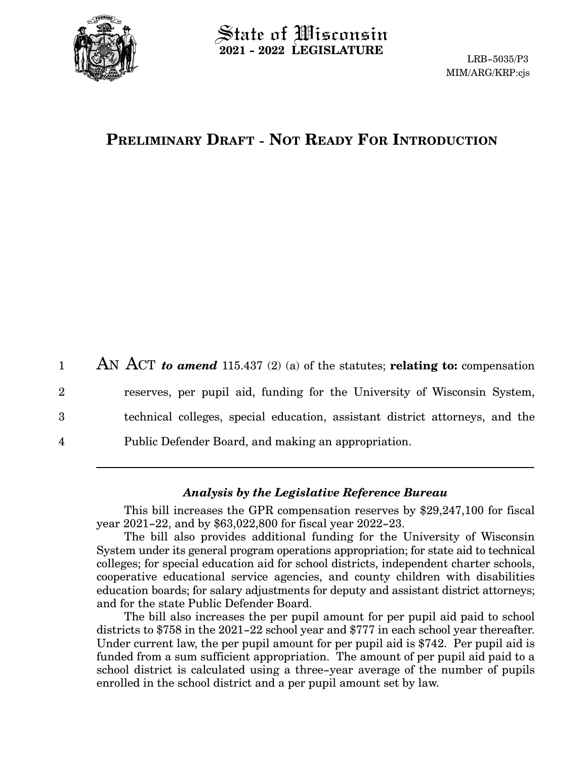

 $\operatorname{\mathsf{State}}$  of Wisconsin **2021 - 2022 LEGISLATURE**

LRB-5035/P3 MIM/ARG/KRP:cjs

# **PRELIMINARY DRAFT - NOT READY FOR INTRODUCTION**

AN ACT *to amend* 115.437 (2) (a) of the statutes; **relating to:** compensation reserves, per pupil aid, funding for the University of Wisconsin System, technical colleges, special education, assistant district attorneys, and the Public Defender Board, and making an appropriation. 1 2 3 4

### *Analysis by the Legislative Reference Bureau*

This bill increases the GPR compensation reserves by \$29,247,100 for fiscal year 2021-22, and by \$63,022,800 for fiscal year 2022-23.

The bill also provides additional funding for the University of Wisconsin System under its general program operations appropriation; for state aid to technical colleges; for special education aid for school districts, independent charter schools, cooperative educational service agencies, and county children with disabilities education boards; for salary adjustments for deputy and assistant district attorneys; and for the state Public Defender Board.

The bill also increases the per pupil amount for per pupil aid paid to school districts to \$758 in the 2021-22 school year and \$777 in each school year thereafter. Under current law, the per pupil amount for per pupil aid is \$742. Per pupil aid is funded from a sum sufficient appropriation. The amount of per pupil aid paid to a school district is calculated using a three-year average of the number of pupils enrolled in the school district and a per pupil amount set by law.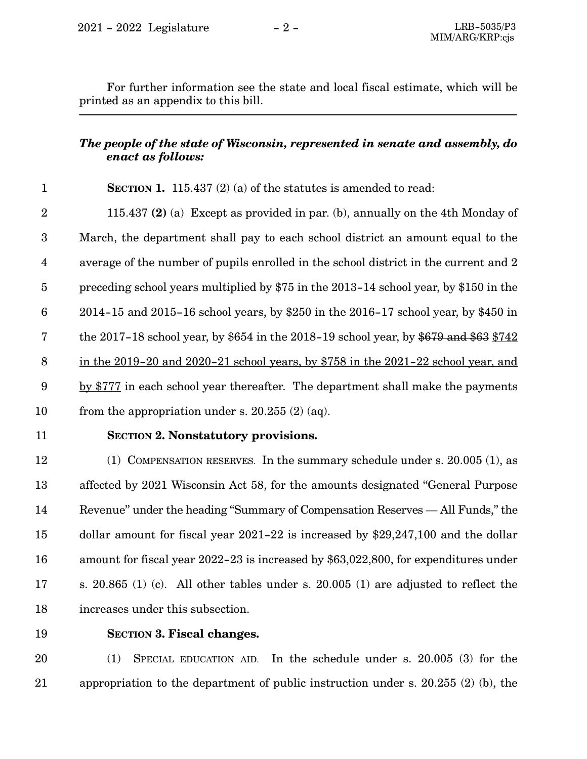For further information see the state and local fiscal estimate, which will be printed as an appendix to this bill.

# *The people of the state of Wisconsin, represented in senate and assembly, do enact as follows:*

#### **SECTION 1.** 115.437 (2) (a) of the statutes is amended to read: 1

115.437 **(2)** (a) Except as provided in par. (b), annually on the 4th Monday of March, the department shall pay to each school district an amount equal to the average of the number of pupils enrolled in the school district in the current and 2 preceding school years multiplied by \$75 in the 2013-14 school year, by \$150 in the 2014-15 and 2015-16 school years, by \$250 in the 2016-17 school year, by \$450 in the 2017-18 school year, by \$654 in the 2018-19 school year, by \$679 and \$63  $$742$ in the 2019-20 and 2020-21 school years, by \$758 in the 2021-22 school year, and by \$777 in each school year thereafter. The department shall make the payments from the appropriation under s. 20.255 (2) (aq). 2 3 4 5 6 7 8 9 10

11

## **SECTION 2. Nonstatutory provisions.**

(1) COMPENSATION RESERVES. In the summary schedule under s. 20.005 (1), as affected by 2021 Wisconsin Act 58, for the amounts designated "General Purpose Revenue" under the heading "Summary of Compensation Reserves — All Funds," the dollar amount for fiscal year 2021-22 is increased by \$29,247,100 and the dollar amount for fiscal year 2022-23 is increased by \$63,022,800, for expenditures under s. 20.865 (1) (c). All other tables under s. 20.005 (1) are adjusted to reflect the increases under this subsection. 12 13 14 15 16 17 18

19

### **SECTION 3.**0**Fiscal changes.**

(1) SPECIAL EDUCATION AID. In the schedule under s. 20.005 (3) for the appropriation to the department of public instruction under s. 20.255 (2) (b), the 20 21